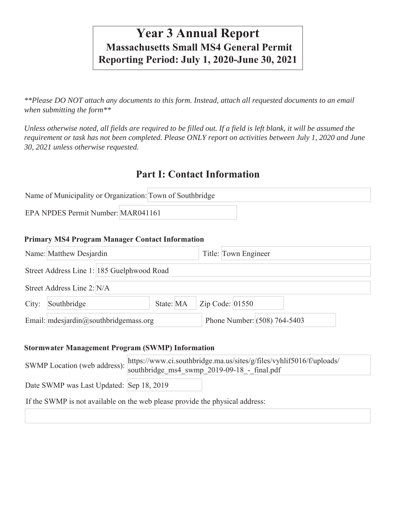# **Year 3 Annual Report Massachusetts Small MS4 General Permit Reporting Period: July 1, 2020-June 30, 2021**

*\*\*Please DO NOT attach any documents to this form. Instead, attach all requested documents to an email when submitting the form\*\** 

*Unless otherwise noted, all fields are required to be filled out. If a field is left blank, it will be assumed the requirement or task has not been completed. Please ONLY report on activities between July 1, 2020 and June 30, 2021 unless otherwise requested.*

# **Part I: Contact Information**

| Name of Municipality or Organization: Town of Southbridge |  |  |  |  |
|-----------------------------------------------------------|--|--|--|--|
| EPA NPDES Permit Number: MAR041161                        |  |  |  |  |

#### **Primary MS4 Program Manager Contact Information**

|       | Name: Matthew Desjardin                    |           | Title: Town Engineer         |  |
|-------|--------------------------------------------|-----------|------------------------------|--|
|       | Street Address Line 1: 185 Guelphwood Road |           |                              |  |
|       | Street Address Line 2: N/A                 |           |                              |  |
| City: | Southbridge                                | State: MA | Zip Code: $01550$            |  |
|       | Email: mdesjardin@southbridgemass.org      |           | Phone Number: (508) 764-5403 |  |

#### **Stormwater Management Program (SWMP) Information**

| SWMP Location (web address):             | https://www.ci.southbridge.ma.us/sites/g/files/vyhlif5016/f/uploads/<br>southbridge ms4 swmp 2019-09-18 - final.pdf |
|------------------------------------------|---------------------------------------------------------------------------------------------------------------------|
| Date SWMP was Last Updated: Sep 18, 2019 |                                                                                                                     |
|                                          | If the SWMP is not available on the web please provide the physical address:                                        |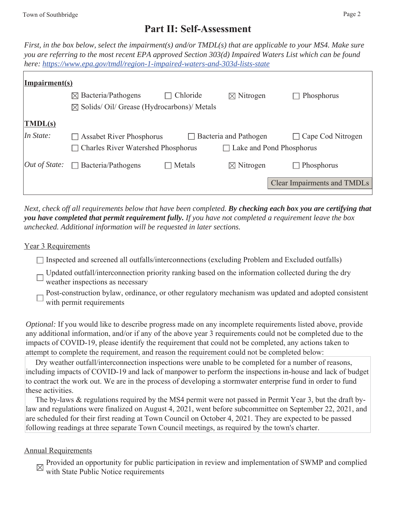# **Part II: Self-Assessment**

*First, in the box below, select the impairment(s) and/or TMDL(s) that are applicable to your MS4. Make sure you are referring to the most recent EPA approved Section 303(d) Impaired Waters List which can be found here: https://www.epa.gov/tmdl/region-1-impaired-waters-and-303d-lists-state*

| Impairment(s)                           |                                                     |          |                                    |                                    |
|-----------------------------------------|-----------------------------------------------------|----------|------------------------------------|------------------------------------|
|                                         | $\boxtimes$ Bacteria/Pathogens                      | Chloride | $\boxtimes$ Nitrogen               | Phosphorus                         |
|                                         | $\boxtimes$ Solids/Oil/Grease (Hydrocarbons)/Metals |          |                                    |                                    |
| $\vert \overline{\text{IMDL(s)}} \vert$ |                                                     |          |                                    |                                    |
| In State:                               | <b>Assabet River Phosphorus</b>                     |          | $\Box$ Bacteria and Pathogen       | Cape Cod Nitrogen<br>$\Box$        |
|                                         | <b>Charles River Watershed Phosphorus</b>           |          | Lake and Pond Phosphorus<br>$\Box$ |                                    |
| $Out$ of State:                         | $\Box$ Bacteria/Pathogens                           | Metals   | $\boxtimes$ Nitrogen               | Phosphorus<br>$\Box$               |
|                                         |                                                     |          |                                    | <b>Clear Impairments and TMDLs</b> |

*Next, check off all requirements below that have been completed. By checking each box you are certifying that you have completed that permit requirement fully. If you have not completed a requirement leave the box unchecked. Additional information will be requested in later sections.* 

## Year 3 Requirements

- $\Box$  Inspected and screened all outfalls/interconnections (excluding Problem and Excluded outfalls)
- Updated outfall/interconnection priority ranking based on the information collected during the dry weather inspections as necessary
- Post-construction bylaw, ordinance, or other regulatory mechanism was updated and adopted consistent with permit requirements

*Optional:* If you would like to describe progress made on any incomplete requirements listed above, provide any additional information, and/or if any of the above year 3 requirements could not be completed due to the impacts of COVID-19, please identify the requirement that could not be completed, any actions taken to attempt to complete the requirement, and reason the requirement could not be completed below:

 Dry weather outfall/interconnection inspections were unable to be completed for a number of reasons, including impacts of COVID-19 and lack of manpower to perform the inspections in-house and lack of budget to contract the work out. We are in the process of developing a stormwater enterprise fund in order to fund these activities.

 The by-laws & regulations required by the MS4 permit were not passed in Permit Year 3, but the draft bylaw and regulations were finalized on August 4, 2021, went before subcommittee on September 22, 2021, and are scheduled for their first reading at Town Council on October 4, 2021. They are expected to be passed following readings at three separate Town Council meetings, as required by the town's charter.

## Annual Requirements

Provided an opportunity for public participation in review and implementation of SWMP and complied with State Public Notice requirements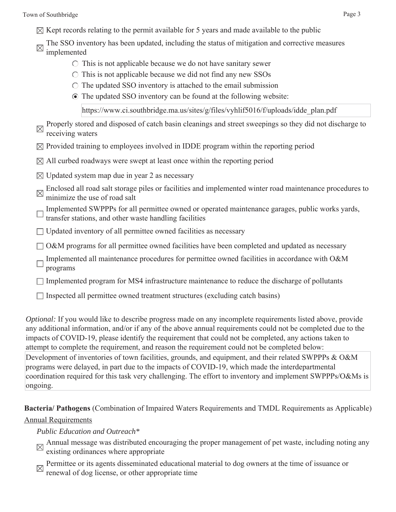- $\boxtimes$  Kept records relating to the permit available for 5 years and made available to the public
- The SSO inventory has been updated, including the status of mitigation and corrective measures implemented
	- $\circ$  This is not applicable because we do not have sanitary sewer
	- $\circ$  This is not applicable because we did not find any new SSOs
	- $\circ$  The updated SSO inventory is attached to the email submission
	- The updated SSO inventory can be found at the following website:

https://www.ci.southbridge.ma.us/sites/g/files/vyhlif5016/f/uploads/idde\_plan.pdf

| $\boxtimes$ | Properly stored and disposed of catch basin cleanings and street sweepings so they did not discharge to<br>receiving waters                               |
|-------------|-----------------------------------------------------------------------------------------------------------------------------------------------------------|
|             | $\boxtimes$ Provided training to employees involved in IDDE program within the reporting period                                                           |
|             | $\boxtimes$ All curbed roadways were swept at least once within the reporting period                                                                      |
|             | $\boxtimes$ Updated system map due in year 2 as necessary                                                                                                 |
| $\times$    | Enclosed all road salt storage piles or facilities and implemented winter road maintenance procedures to<br>minimize the use of road salt                 |
|             | Implemented SWPPPs for all permittee owned or operated maintenance garages, public works yards,<br>transfer stations, and other waste handling facilities |
|             | $\Box$ Updated inventory of all permittee owned facilities as necessary                                                                                   |
|             | O&M programs for all permittee owned facilities have been completed and updated as necessary                                                              |

- Implemented all maintenance procedures for permittee owned facilities in accordance with O&M programs
- $\Box$  Implemented program for MS4 infrastructure maintenance to reduce the discharge of pollutants
- $\Box$  Inspected all permittee owned treatment structures (excluding catch basins)

*Optional:* If you would like to describe progress made on any incomplete requirements listed above, provide any additional information, and/or if any of the above annual requirements could not be completed due to the impacts of COVID-19, please identify the requirement that could not be completed, any actions taken to attempt to complete the requirement, and reason the requirement could not be completed below:

Development of inventories of town facilities, grounds, and equipment, and their related SWPPPs & O&M programs were delayed, in part due to the impacts of COVID-19, which made the interdepartmental coordination required for this task very challenging. The effort to inventory and implement SWPPPs/O&Ms is ongoing.

**Bacteria/ Pathogens** (Combination of Impaired Waters Requirements and TMDL Requirements as Applicable) Annual Requirements

## *Public Education and Outreach\**

- Annual message was distributed encouraging the proper management of pet waste, including noting any  $\mathbb{R}$ existing ordinances where appropriate
- Permittee or its agents disseminated educational material to dog owners at the time of issuance or
- $\boxtimes$  renewal of dog license, or other appropriate time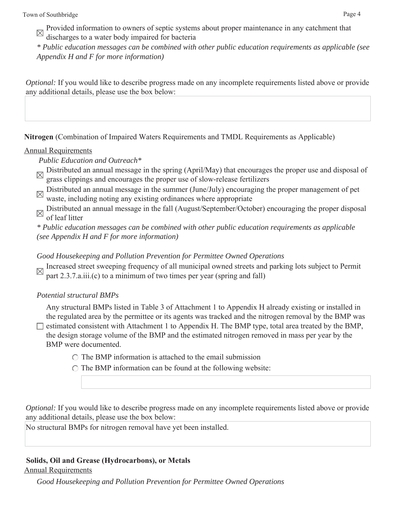Provided information to owners of septic systems about proper maintenance in any catchment that discharges to a water body impaired for bacteria

*\* Public education messages can be combined with other public education requirements as applicable (see Appendix H and F for more information)*

*Optional:* If you would like to describe progress made on any incomplete requirements listed above or provide any additional details, please use the box below:

**Nitrogen** (Combination of Impaired Waters Requirements and TMDL Requirements as Applicable)

# Annual Requirements

 *Public Education and Outreach\**

- Distributed an annual message in the spring (April/May) that encourages the proper use and disposal of  $\alpha$ grass clippings and encourages the proper use of slow-release fertilizers
- Distributed an annual message in the summer (June/July) encouraging the proper management of pet  $\boxtimes$  Distributed an annual incodes  $\ldots$  and  $\ldots$  ordinances where appropriate waste, including noting any existing ordinances where appropriate
- Distributed an annual message in the fall (August/September/October) encouraging the proper disposal of leaf litter
- *\* Public education messages can be combined with other public education requirements as applicable (see Appendix H and F for more information)*

*Good Housekeeping and Pollution Prevention for Permittee Owned Operations*

Increased street sweeping frequency of all municipal owned streets and parking lots subject to Permit part 2.3.7.a.iii.(c) to a minimum of two times per year (spring and fall)

*Potential structural BMPs*

Any structural BMPs listed in Table 3 of Attachment 1 to Appendix H already existing or installed in the regulated area by the permittee or its agents was tracked and the nitrogen removal by the BMP was  $\Box$  estimated consistent with Attachment 1 to Appendix H. The BMP type, total area treated by the BMP, the design storage volume of the BMP and the estimated nitrogen removed in mass per year by the BMP were documented.

- $\bigcap$  The BMP information is attached to the email submission
- $\circ$  The BMP information can be found at the following website:

*Optional:* If you would like to describe progress made on any incomplete requirements listed above or provide any additional details, please use the box below:

No structural BMPs for nitrogen removal have yet been installed.

# **Solids, Oil and Grease (Hydrocarbons), or Metals**

Annual Requirements

*Good Housekeeping and Pollution Prevention for Permittee Owned Operations*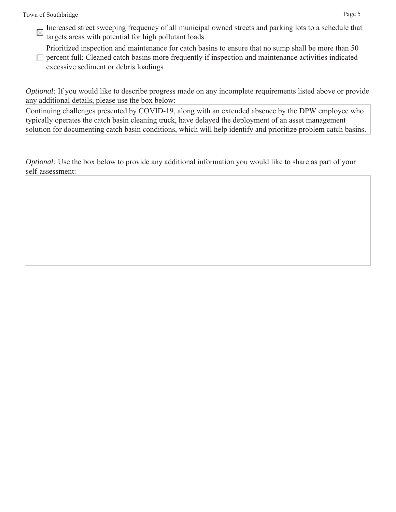Increased street sweeping frequency of all municipal owned streets and parking lots to a schedule that there is a schedule that targets areas with potential for high pollutant loads

Prioritized inspection and maintenance for catch basins to ensure that no sump shall be more than 50

 $\Box$  percent full; Cleaned catch basins more frequently if inspection and maintenance activities indicated excessive sediment or debris loadings

*Optional:* If you would like to describe progress made on any incomplete requirements listed above or provide any additional details, please use the box below:

Continuing challenges presented by COVID-19, along with an extended absence by the DPW employee who typically operates the catch basin cleaning truck, have delayed the deployment of an asset management solution for documenting catch basin conditions, which will help identify and prioritize problem catch basins.

*Optional:* Use the box below to provide any additional information you would like to share as part of your self-assessment: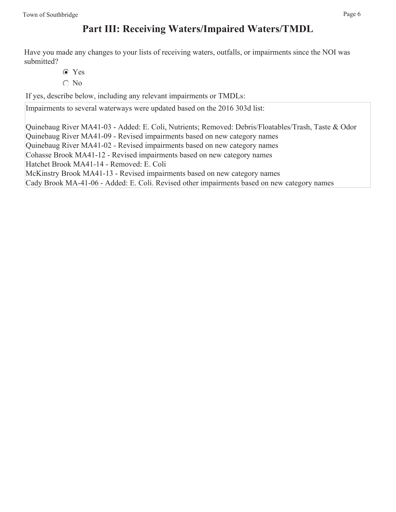# **Part III: Receiving Waters/Impaired Waters/TMDL**

Have you made any changes to your lists of receiving waters, outfalls, or impairments since the NOI was submitted?

- Yes
- $\bigcirc$  No

If yes, describe below, including any relevant impairments or TMDLs:

Impairments to several waterways were updated based on the 2016 303d list:

Quinebaug River MA41-03 - Added: E. Coli, Nutrients; Removed: Debris/Floatables/Trash, Taste & Odor Quinebaug River MA41-09 - Revised impairments based on new category names Quinebaug River MA41-02 - Revised impairments based on new category names Cohasse Brook MA41-12 - Revised impairments based on new category names Hatchet Brook MA41-14 - Removed: E. Coli McKinstry Brook MA41-13 - Revised impairments based on new category names Cady Brook MA-41-06 - Added: E. Coli. Revised other impairments based on new category names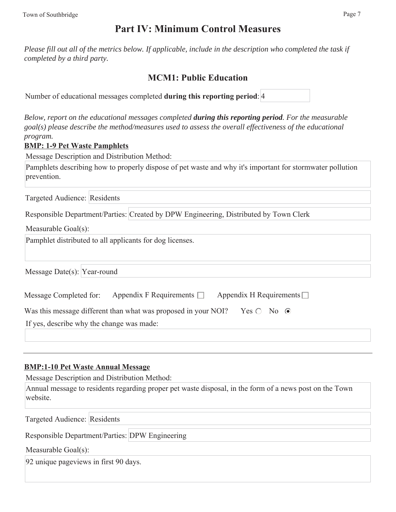# **Part IV: Minimum Control Measures**

*Please fill out all of the metrics below. If applicable, include in the description who completed the task if completed by a third party.* 

# **MCM1: Public Education**

| Number of educational messages completed during this reporting period: 4 |  |  |
|--------------------------------------------------------------------------|--|--|
|                                                                          |  |  |

*Below, report on the educational messages completed during this reporting period. For the measurable goal(s) please describe the method/measures used to assess the overall effectiveness of the educational program.*

## **BMP: 1-9 Pet Waste Pamphlets**

Message Description and Distribution Method:

Pamphlets describing how to properly dispose of pet waste and why it's important for stormwater pollution prevention.

Targeted Audience: Residents

Responsible Department/Parties: Created by DPW Engineering, Distributed by Town Clerk

Measurable Goal(s):

Pamphlet distributed to all applicants for dog licenses.

Message Date(s): Year-round

| Message Completed for:                                         | Appendix F Requirements $\Box$ | Appendix H Requirements $\Box$ |
|----------------------------------------------------------------|--------------------------------|--------------------------------|
| Was this message different than what was proposed in your NOI? |                                | Yes $\bigcirc$ No $\bigcirc$   |
| If yes, describe why the change was made:                      |                                |                                |

## **BMP:1-10 Pet Waste Annual Message**

Message Description and Distribution Method:

Annual message to residents regarding proper pet waste disposal, in the form of a news post on the Town website.

Targeted Audience: Residents

Responsible Department/Parties: DPW Engineering

Measurable Goal(s):

92 unique pageviews in first 90 days.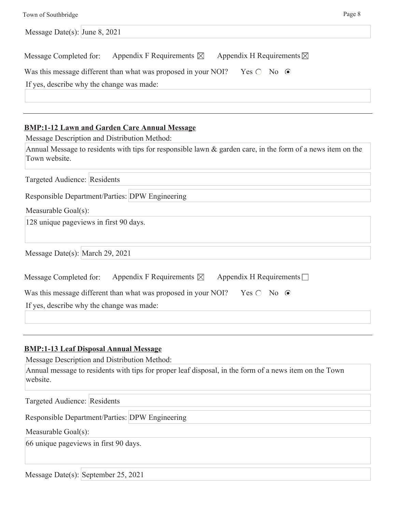| Message Date(s): June 8, 2021             |                                                                                             |                                     |  |
|-------------------------------------------|---------------------------------------------------------------------------------------------|-------------------------------------|--|
| Message Completed for:                    | Appendix F Requirements $\boxtimes$                                                         | Appendix H Requirements $\boxtimes$ |  |
|                                           | Was this message different than what was proposed in your NOI? Yes $\bigcirc$ No $\bigcirc$ |                                     |  |
| If yes, describe why the change was made: |                                                                                             |                                     |  |
|                                           |                                                                                             |                                     |  |

#### **BMP:1-12 Lawn and Garden Care Annual Message**

Message Description and Distribution Method:

Annual Message to residents with tips for responsible lawn & garden care, in the form of a news item on the Town website.

Targeted Audience: Residents

Responsible Department/Parties: DPW Engineering

Measurable Goal(s):

128 unique pageviews in first 90 days.

Message Date(s): March 29, 2021

| Message Completed for:                    | Appendix F Requirements $\boxtimes$                            | Appendix H Requirements $\Box$ |  |
|-------------------------------------------|----------------------------------------------------------------|--------------------------------|--|
|                                           | Was this message different than what was proposed in your NOI? | $Yes \bigcirc No \ \odot$      |  |
| If yes, describe why the change was made: |                                                                |                                |  |
|                                           |                                                                |                                |  |

## **BMP:1-13 Leaf Disposal Annual Message**

Message Description and Distribution Method:

Annual message to residents with tips for proper leaf disposal, in the form of a news item on the Town website.

Targeted Audience: Residents

Responsible Department/Parties: DPW Engineering

Measurable Goal(s):

66 unique pageviews in first 90 days.

Message Date(s): September 25, 2021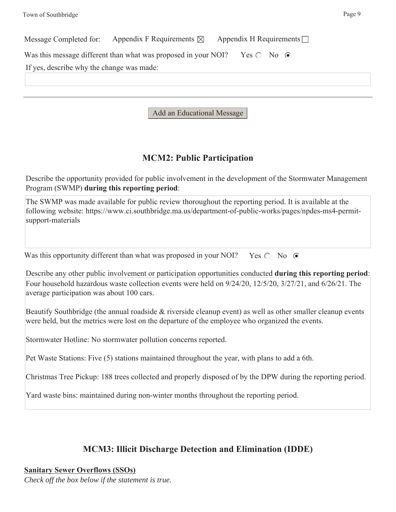| Message Completed for:                    | Appendix F Requirements $\boxtimes$ Appendix H Requirements $\Box$                          |  |  |
|-------------------------------------------|---------------------------------------------------------------------------------------------|--|--|
|                                           | Was this message different than what was proposed in your NOI? Yes $\bigcirc$ No $\bigcirc$ |  |  |
| If yes, describe why the change was made: |                                                                                             |  |  |
|                                           |                                                                                             |  |  |
|                                           |                                                                                             |  |  |

Add an Educational Message

# **MCM2: Public Participation**

Describe the opportunity provided for public involvement in the development of the Stormwater Management Program (SWMP) **during this reporting period**:

The SWMP was made available for public review thoroughout the reporting period. It is available at the following website: https://www.ci.southbridge.ma.us/department-of-public-works/pages/npdes-ms4-permitsupport-materials

Was this opportunity different than what was proposed in your NOI? Yes  $\bigcirc$  No  $\bigcirc$ 

Describe any other public involvement or participation opportunities conducted **during this reporting period**: Four household hazardous waste collection events were held on 9/24/20, 12/5/20, 3/27/21, and 6/26/21. The average participation was about 100 cars.

Beautify Southbridge (the annual roadside & riverside cleanup event) as well as other smaller cleanup events were held, but the metrics were lost on the departure of the employee who organized the events.

Stormwater Hotline: No stormwater pollution concerns reported.

Pet Waste Stations: Five (5) stations maintained throughout the year, with plans to add a 6th.

Christmas Tree Pickup: 188 trees collected and properly disposed of by the DPW during the reporting period.

Yard waste bins: maintained during non-winter months throughout the reporting period.

# **MCM3: Illicit Discharge Detection and Elimination (IDDE)**

**Sanitary Sewer Overflows (SSOs)** *Check off the box below if the statement is true.*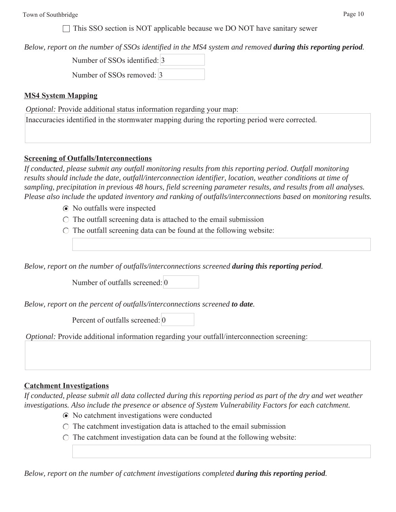$\Box$  This SSO section is NOT applicable because we DO NOT have sanitary sewer

*Below, report on the number of SSOs identified in the MS4 system and removed during this reporting period.*

| Number of SSOs identified: 3 |  |
|------------------------------|--|
| Number of SSOs removed: 3    |  |

#### **MS4 System Mapping**

*Optional: Provide additional status information regarding your map:* Inaccuracies identified in the stormwater mapping during the reporting period were corrected.

#### **Screening of Outfalls/Interconnections**

*If conducted, please submit any outfall monitoring results from this reporting period. Outfall monitoring results should include the date, outfall/interconnection identifier, location, weather conditions at time of sampling, precipitation in previous 48 hours, field screening parameter results, and results from all analyses. Please also include the updated inventory and ranking of outfalls/interconnections based on monitoring results.*

- No outfalls were inspected
- $\circ$  The outfall screening data is attached to the email submission
- $\circ$  The outfall screening data can be found at the following website:

*Below, report on the number of outfalls/interconnections screened during this reporting period.*

Number of outfalls screened: 0

*Below, report on the percent of outfalls/interconnections screened to date.*

Percent of outfalls screened: 0

*Optional:* Provide additional information regarding your outfall/interconnection screening:

## **Catchment Investigations**

*If conducted, please submit all data collected during this reporting period as part of the dry and wet weather investigations. Also include the presence or absence of System Vulnerability Factors for each catchment.*

- No catchment investigations were conducted
- $\circ$  The catchment investigation data is attached to the email submission
- $\circ$  The catchment investigation data can be found at the following website:

*Below, report on the number of catchment investigations completed during this reporting period.*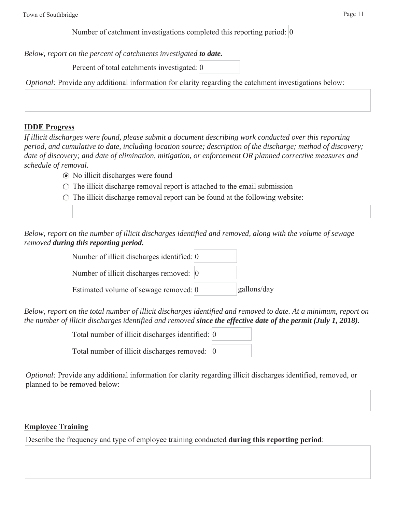*Below, report on the percent of catchments investigated to date.*

Percent of total catchments investigated: 0

*Optional:* Provide any additional information for clarity regarding the catchment investigations below:

# **IDDE Progress**

*If illicit discharges were found, please submit a document describing work conducted over this reporting period, and cumulative to date, including location source; description of the discharge; method of discovery; date of discovery; and date of elimination, mitigation, or enforcement OR planned corrective measures and schedule of removal.*

- No illicit discharges were found
- $\circ$  The illicit discharge removal report is attached to the email submission
- $\circ$  The illicit discharge removal report can be found at the following website:

*Below, report on the number of illicit discharges identified and removed, along with the volume of sewage removed during this reporting period.*

| Number of illicit discharges identified: 0 |             |
|--------------------------------------------|-------------|
| Number of illicit discharges removed: 0    |             |
| Estimated volume of sewage removed: 0      | gallons/day |

*Below, report on the total number of illicit discharges identified and removed to date. At a minimum, report on the number of illicit discharges identified and removed since the effective date of the permit (July 1, 2018).*

Total number of illicit discharges identified: 0

Total number of illicit discharges removed:  $\vert 0 \rangle$ 

*Optional:* Provide any additional information for clarity regarding illicit discharges identified, removed, or planned to be removed below:

# **Employee Training**

Describe the frequency and type of employee training conducted **during this reporting period**: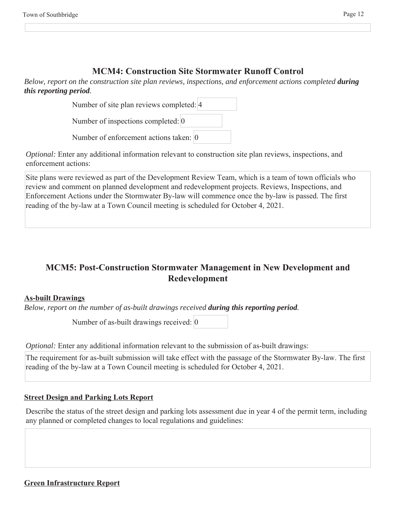# **MCM4: Construction Site Stormwater Runoff Control**

*Below, report on the construction site plan reviews, inspections, and enforcement actions completed <i>during this reporting period.*

| Number of site plan reviews completed: 4           |  |
|----------------------------------------------------|--|
| Number of inspections completed: $\vert 0 \rangle$ |  |
| Number of enforcement actions taken: 0             |  |

*Optional:* Enter any additional information relevant to construction site plan reviews, inspections, and enforcement actions:

Site plans were reviewed as part of the Development Review Team, which is a team of town officials who review and comment on planned development and redevelopment projects. Reviews, Inspections, and Enforcement Actions under the Stormwater By-law will commence once the by-law is passed. The first reading of the by-law at a Town Council meeting is scheduled for October 4, 2021.

# **MCM5: Post-Construction Stormwater Management in New Development and Redevelopment**

# **As-built Drawings**

*Below, report on the number of as-built drawings received during this reporting period.*

Number of as-built drawings received: 0

*Optional:* Enter any additional information relevant to the submission of as-built drawings:

The requirement for as-built submission will take effect with the passage of the Stormwater By-law. The first reading of the by-law at a Town Council meeting is scheduled for October 4, 2021.

# **Street Design and Parking Lots Report**

Describe the status of the street design and parking lots assessment due in year 4 of the permit term, including any planned or completed changes to local regulations and guidelines: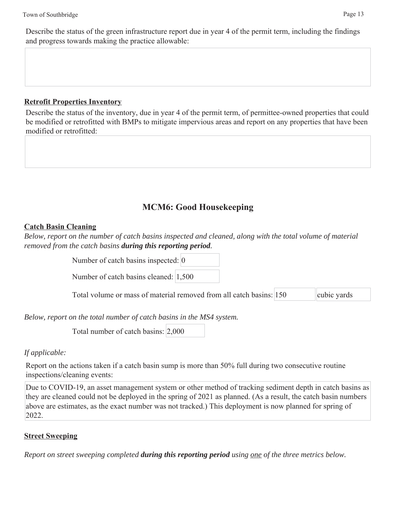Describe the status of the green infrastructure report due in year 4 of the permit term, including the findings and progress towards making the practice allowable:

# **Retrofit Properties Inventory**

Describe the status of the inventory, due in year 4 of the permit term, of permittee-owned properties that could be modified or retrofitted with BMPs to mitigate impervious areas and report on any properties that have been modified or retrofitted:

# **MCM6: Good Housekeeping**

## **Catch Basin Cleaning**

*Below, report on the number of catch basins inspected and cleaned, along with the total volume of material removed from the catch basins during this reporting period.*

Number of catch basins inspected: 0

Number of catch basins cleaned: 1,500

Total volume or mass of material removed from all catch basins: 150 cubic yards

*Below, report on the total number of catch basins in the MS4 system.*

Total number of catch basins: 2,000

# *If applicable:*

Report on the actions taken if a catch basin sump is more than 50% full during two consecutive routine inspections/cleaning events:

Due to COVID-19, an asset management system or other method of tracking sediment depth in catch basins as they are cleaned could not be deployed in the spring of 2021 as planned. (As a result, the catch basin numbers above are estimates, as the exact number was not tracked.) This deployment is now planned for spring of 2022.

# **Street Sweeping**

*Report on street sweeping completed during this reporting period using one of the three metrics below.*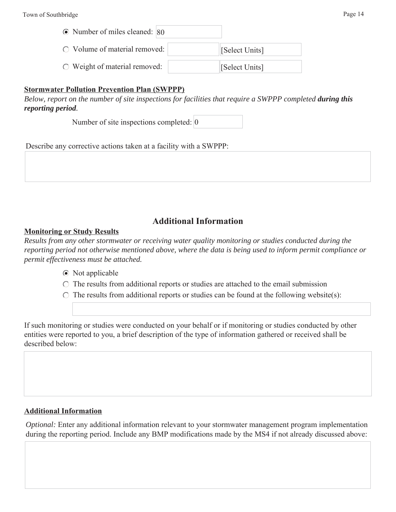# **Stormwater Pollution Prevention Plan (SWPPP)**

*Below, report on the number of site inspections for facilities that require a SWPPP completed <i>during this reporting period.*

Number of site inspections completed: 0

Describe any corrective actions taken at a facility with a SWPPP:

# **Additional Information**

## **Monitoring or Study Results**

*Results from any other stormwater or receiving water quality monitoring or studies conducted during the reporting period not otherwise mentioned above, where the data is being used to inform permit compliance or permit effectiveness must be attached.*

- Not applicable
- $\circ$  The results from additional reports or studies are attached to the email submission
- $\circ$  The results from additional reports or studies can be found at the following website(s):

If such monitoring or studies were conducted on your behalf or if monitoring or studies conducted by other entities were reported to you, a brief description of the type of information gathered or received shall be described below:

## **Additional Information**

*Optional:* Enter any additional information relevant to your stormwater management program implementation during the reporting period. Include any BMP modifications made by the MS4 if not already discussed above: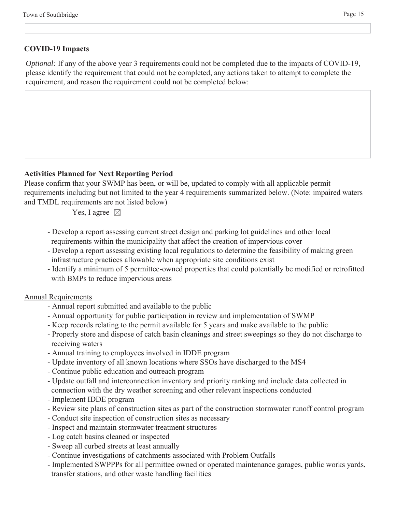### **COVID-19 Impacts**

*Optional:* If any of the above year 3 requirements could not be completed due to the impacts of COVID-19, please identify the requirement that could not be completed, any actions taken to attempt to complete the requirement, and reason the requirement could not be completed below:

#### **Activities Planned for Next Reporting Period**

Please confirm that your SWMP has been, or will be, updated to comply with all applicable permit requirements including but not limited to the year 4 requirements summarized below. (Note: impaired waters and TMDL requirements are not listed below)

Yes, I agree  $\boxtimes$ 

- Develop a report assessing current street design and parking lot guidelines and other local requirements within the municipality that affect the creation of impervious cover
- Develop a report assessing existing local regulations to determine the feasibility of making green infrastructure practices allowable when appropriate site conditions exist
- Identify a minimum of 5 permittee-owned properties that could potentially be modified or retrofitted with BMPs to reduce impervious areas

#### Annual Requirements

- Annual report submitted and available to the public
- Annual opportunity for public participation in review and implementation of SWMP
- Keep records relating to the permit available for 5 years and make available to the public
- Properly store and dispose of catch basin cleanings and street sweepings so they do not discharge to receiving waters
- Annual training to employees involved in IDDE program
- Update inventory of all known locations where SSOs have discharged to the MS4
- Continue public education and outreach program
- Update outfall and interconnection inventory and priority ranking and include data collected in connection with the dry weather screening and other relevant inspections conducted
- Implement IDDE program
- Review site plans of construction sites as part of the construction stormwater runoff control program
- Conduct site inspection of construction sites as necessary
- Inspect and maintain stormwater treatment structures
- Log catch basins cleaned or inspected
- Sweep all curbed streets at least annually
- Continue investigations of catchments associated with Problem Outfalls
- Implemented SWPPPs for all permittee owned or operated maintenance garages, public works yards, transfer stations, and other waste handling facilities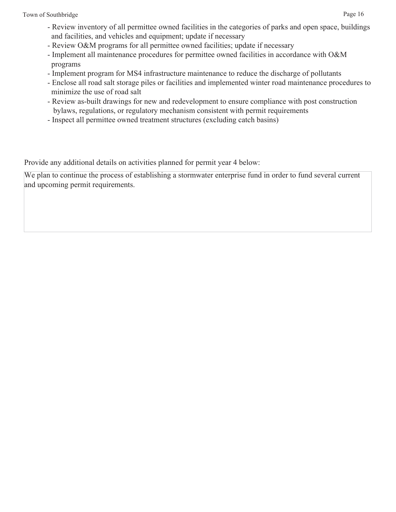- Review O&M programs for all permittee owned facilities; update if necessary
- Implement all maintenance procedures for permittee owned facilities in accordance with O&M programs
- Implement program for MS4 infrastructure maintenance to reduce the discharge of pollutants
- Enclose all road salt storage piles or facilities and implemented winter road maintenance procedures to minimize the use of road salt
- Review as-built drawings for new and redevelopment to ensure compliance with post construction bylaws, regulations, or regulatory mechanism consistent with permit requirements
- Inspect all permittee owned treatment structures (excluding catch basins)

Provide any additional details on activities planned for permit year 4 below:

We plan to continue the process of establishing a stormwater enterprise fund in order to fund several current and upcoming permit requirements.